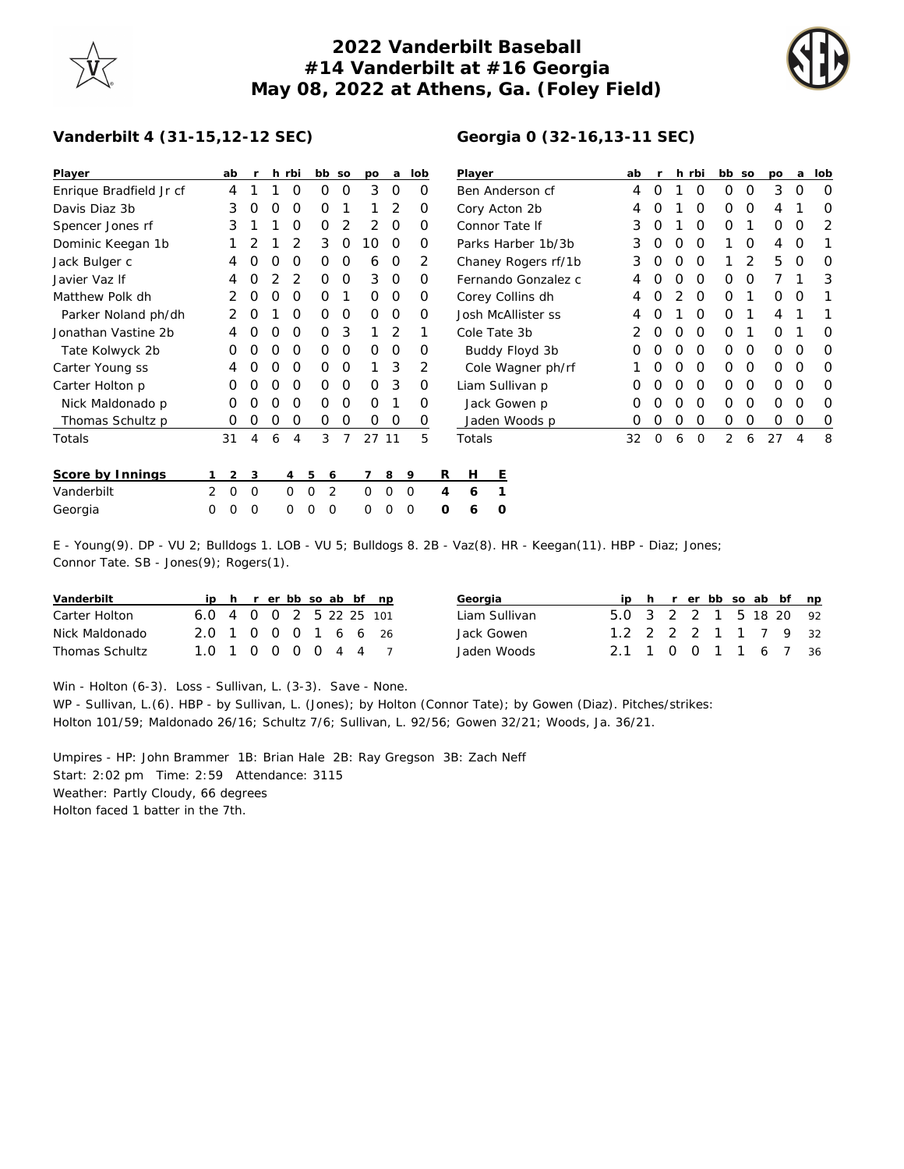## **2022 Vanderbilt Baseball #14 Vanderbilt at #16 Georgia May 08, 2022 at Athens, Ga. (Foley Field)**

**Georgia 0 (32-16,13-11 SEC)**



## **Vanderbilt 4 (31-15,12-12 SEC)**

| Player                  |   | ab             | r          |                  | h rbi       |              | bb so | po       | a        | lob      |   | Player              |   |                 |  | ab |          |   | h rbi    | bb so       |   | po | a | lob      |
|-------------------------|---|----------------|------------|------------------|-------------|--------------|-------|----------|----------|----------|---|---------------------|---|-----------------|--|----|----------|---|----------|-------------|---|----|---|----------|
| Enrique Bradfield Jr cf |   | 4              |            |                  | $\Omega$    | 0            | 0     | 3        | 0        | O        |   | Ben Anderson cf     |   |                 |  | 4  | 0        |   | $\Omega$ | 0           | 0 | 3  | 0 | 0        |
| Davis Diaz 3b           |   | 3              | O          |                  | O           | O            |       |          | 2        | O        |   | Cory Acton 2b       |   |                 |  |    |          |   | $\Omega$ | 0           | 0 | 4  |   | 0        |
| Spencer Jones rf        |   | 3              |            |                  | O           | 0            | 2     | 2        | 0        | 0        |   | Connor Tate If      |   |                 |  | 3  | 0        |   | O        | 0           |   | 0  | O | 2        |
| Dominic Keegan 1b       |   |                |            |                  | 2           | 3            | 0     | 10       | $\Omega$ | O        |   | Parks Harber 1b/3b  |   |                 |  | 3  | O        | O | $\Omega$ |             | 0 | 4  | O |          |
| Jack Bulger c           |   | 4              |            | $\left($         | O           | 0            | 0     | 6        | $\circ$  | 2        |   | Chaney Rogers rf/1b |   |                 |  | 3  | O        | O | $\Omega$ |             | 2 | 5  | O | $\Omega$ |
| Javier Vaz If           |   | 4              |            |                  |             | Ο            | 0     | 3        | $\Omega$ | O        |   | Fernando Gonzalez c |   |                 |  | 4  |          |   | $\Omega$ | 0           | O |    |   | 3        |
| Matthew Polk dh         |   | 2              |            |                  | O           | Ο            |       | $\Omega$ | 0        | 0        |   | Corey Collins dh    |   |                 |  | 4  |          |   | $\Omega$ | 0           |   | 0  | O |          |
| Parker Noland ph/dh     |   | 2              | $\Omega$   |                  | O           | 0            | 0     | $\Omega$ | 0        | $\Omega$ |   | Josh McAllister ss  |   |                 |  | 4  |          |   | $\Omega$ | $\Omega$    |   | 4  |   |          |
| Jonathan Vastine 2b     |   | 4              |            | $\left( \right)$ | $\Omega$    | 0            | 3     |          | 2        |          |   | Cole Tate 3b        |   |                 |  |    | 0        | O | $\Omega$ | 0           |   | 0  |   | 0        |
| Tate Kolwyck 2b         |   | O              | O          | $\left( \right)$ | O           | O            | 0     | $\Omega$ | 0        | O        |   | Buddy Floyd 3b      |   |                 |  | 0  | O        | O | $\Omega$ | 0           | 0 | 0  | O | $\Omega$ |
| Carter Young ss         |   | 4              |            |                  | $\Omega$    | Ο            | 0     |          | 3        | 2        |   | Cole Wagner ph/rf   |   |                 |  |    |          | O | $\Omega$ | 0           | 0 | 0  | O | O        |
| Carter Holton p         |   | 0              | $\left($ ) | $\left( \right)$ | O           | 0            | 0     | $\Omega$ | 3        | 0        |   |                     |   | Liam Sullivan p |  | O  |          | O | 0        | $\mathbf 0$ | O | 0  | O | $\Omega$ |
| Nick Maldonado p        |   |                |            |                  | O           | Ο            | 0     | O        |          | O        |   | Jack Gowen p        |   |                 |  | O  |          |   | $\Omega$ | 0           | O | O  | O | O        |
| Thomas Schultz p        |   | O              | O          | O                | $\Omega$    | 0            | 0     | 0        | 0        | 0        |   |                     |   | Jaden Woods p   |  | 0  |          | O | $\Omega$ | 0           | 0 | O  | O | $\circ$  |
| Totals                  |   | 31             | 4          | 6                | 4           | 3            |       |          | 27 11    | 5        |   | Totals              |   |                 |  | 32 | $\Omega$ | 6 | $\Omega$ | 2           | 6 | 27 | 4 | 8        |
| Score by Innings        |   | $\overline{2}$ | 3          |                  | 4           | 5            | 6     |          | 8        | 9        | R | Н                   | Ε |                 |  |    |          |   |          |             |   |    |   |          |
| Vanderbilt              | 2 | $\Omega$       | 0          |                  | $\Omega$    | $\Omega$     | 2     | 0        | O        | 0        | 4 | 6                   |   |                 |  |    |          |   |          |             |   |    |   |          |
| Georgia                 | 0 | 0              | 0          |                  | $\mathbf 0$ | $\circ$<br>0 |       | 0        | 0        | 0        | O | 6                   | O |                 |  |    |          |   |          |             |   |    |   |          |

E - Young(9). DP - VU 2; Bulldogs 1. LOB - VU 5; Bulldogs 8. 2B - Vaz(8). HR - Keegan(11). HBP - Diaz; Jones; Connor Tate. SB - Jones(9); Rogers(1).

| Vanderbilt            |                                                                           |  |  |  | ip h r er bb so ab bf np | Georgia       |                        |  |  |  | ip h r er bb so ab bf np |  |
|-----------------------|---------------------------------------------------------------------------|--|--|--|--------------------------|---------------|------------------------|--|--|--|--------------------------|--|
| Carter Holton         | $6.0 \quad 4 \quad 0 \quad 0 \quad 2 \quad 5 \quad 22 \quad 25 \quad 101$ |  |  |  |                          | Liam Sullivan | 5.0 3 2 2 1 5 18 20 92 |  |  |  |                          |  |
| Nick Maldonado        | 2.0 1 0 0 0 1 6 6 26                                                      |  |  |  |                          | Jack Gowen    | 1.2 2 2 2 1 1 7 9 32   |  |  |  |                          |  |
| <b>Thomas Schultz</b> | 1.0 1 0 0 0 0 4 4 7                                                       |  |  |  |                          | Jaden Woods   | 2.1 1 0 0 1 1 6 7 36   |  |  |  |                          |  |

Win - Holton (6-3). Loss - Sullivan, L. (3-3). Save - None.

WP - Sullivan, L.(6). HBP - by Sullivan, L. (Jones); by Holton (Connor Tate); by Gowen (Diaz). Pitches/strikes: Holton 101/59; Maldonado 26/16; Schultz 7/6; Sullivan, L. 92/56; Gowen 32/21; Woods, Ja. 36/21.

Umpires - HP: John Brammer 1B: Brian Hale 2B: Ray Gregson 3B: Zach Neff Start: 2:02 pm Time: 2:59 Attendance: 3115 Weather: Partly Cloudy, 66 degrees Holton faced 1 batter in the 7th.